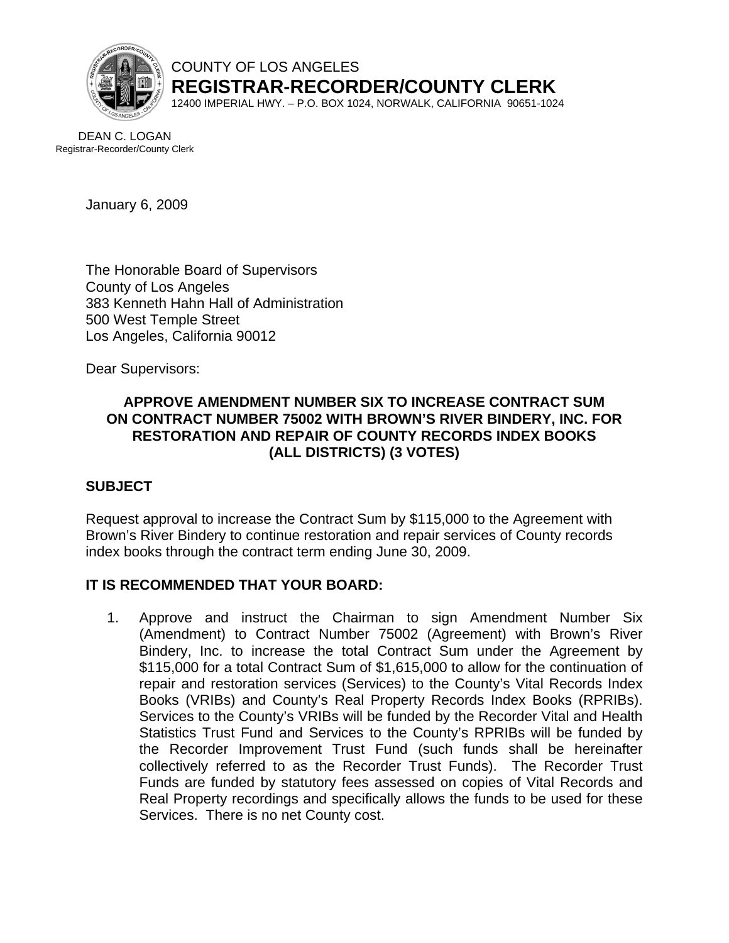

COUNTY OF LOS ANGELES **REGISTRAR-RECORDER/COUNTY CLERK**

12400 IMPERIAL HWY. – P.O. BOX 1024, NORWALK, CALIFORNIA 90651-1024

DEAN C. LOGAN Registrar-Recorder/County Clerk

January 6, 2009

The Honorable Board of Supervisors County of Los Angeles 383 Kenneth Hahn Hall of Administration 500 West Temple Street Los Angeles, California 90012

Dear Supervisors:

# **APPROVE AMENDMENT NUMBER SIX TO INCREASE CONTRACT SUM ON CONTRACT NUMBER 75002 WITH BROWN'S RIVER BINDERY, INC. FOR RESTORATION AND REPAIR OF COUNTY RECORDS INDEX BOOKS (ALL DISTRICTS) (3 VOTES)**

## **SUBJECT**

Request approval to increase the Contract Sum by \$115,000 to the Agreement with Brown's River Bindery to continue restoration and repair services of County records index books through the contract term ending June 30, 2009.

## **IT IS RECOMMENDED THAT YOUR BOARD:**

1. Approve and instruct the Chairman to sign Amendment Number Six (Amendment) to Contract Number 75002 (Agreement) with Brown's River Bindery, Inc. to increase the total Contract Sum under the Agreement by \$115,000 for a total Contract Sum of \$1,615,000 to allow for the continuation of repair and restoration services (Services) to the County's Vital Records Index Books (VRIBs) and County's Real Property Records Index Books (RPRIBs). Services to the County's VRIBs will be funded by the Recorder Vital and Health Statistics Trust Fund and Services to the County's RPRIBs will be funded by the Recorder Improvement Trust Fund (such funds shall be hereinafter collectively referred to as the Recorder Trust Funds). The Recorder Trust Funds are funded by statutory fees assessed on copies of Vital Records and Real Property recordings and specifically allows the funds to be used for these Services. There is no net County cost.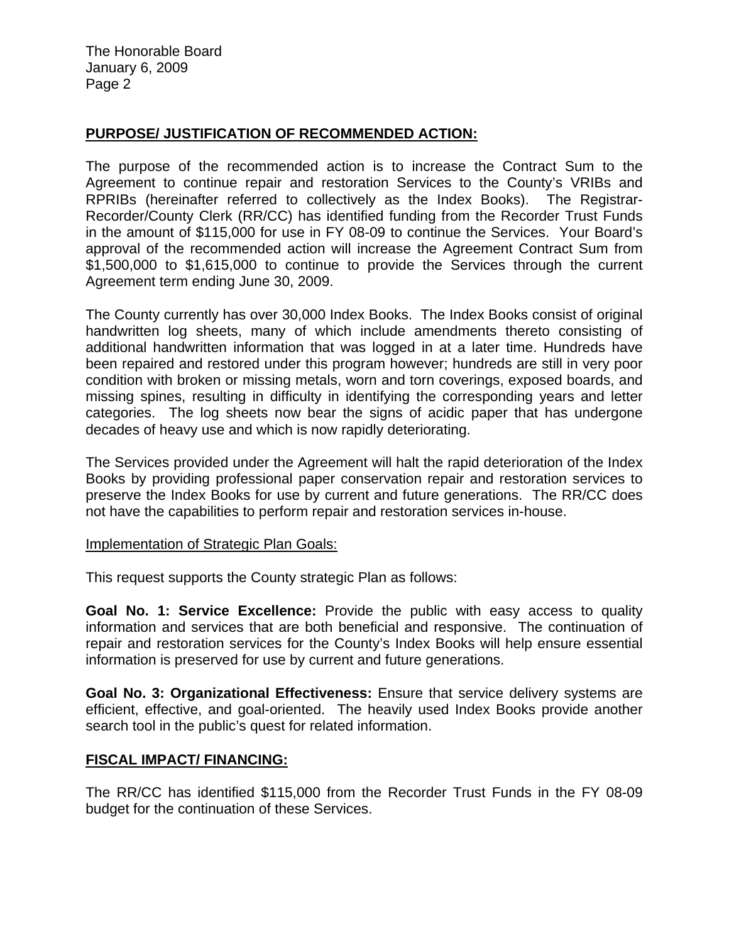The Honorable Board January 6, 2009 Page 2

## **PURPOSE/ JUSTIFICATION OF RECOMMENDED ACTION:**

The purpose of the recommended action is to increase the Contract Sum to the Agreement to continue repair and restoration Services to the County's VRIBs and RPRIBs (hereinafter referred to collectively as the Index Books). The Registrar-Recorder/County Clerk (RR/CC) has identified funding from the Recorder Trust Funds in the amount of \$115,000 for use in FY 08-09 to continue the Services. Your Board's approval of the recommended action will increase the Agreement Contract Sum from \$1,500,000 to \$1,615,000 to continue to provide the Services through the current Agreement term ending June 30, 2009.

The County currently has over 30,000 Index Books. The Index Books consist of original handwritten log sheets, many of which include amendments thereto consisting of additional handwritten information that was logged in at a later time. Hundreds have been repaired and restored under this program however; hundreds are still in very poor condition with broken or missing metals, worn and torn coverings, exposed boards, and missing spines, resulting in difficulty in identifying the corresponding years and letter categories. The log sheets now bear the signs of acidic paper that has undergone decades of heavy use and which is now rapidly deteriorating.

The Services provided under the Agreement will halt the rapid deterioration of the Index Books by providing professional paper conservation repair and restoration services to preserve the Index Books for use by current and future generations. The RR/CC does not have the capabilities to perform repair and restoration services in-house.

## Implementation of Strategic Plan Goals:

This request supports the County strategic Plan as follows:

**Goal No. 1: Service Excellence:** Provide the public with easy access to quality information and services that are both beneficial and responsive. The continuation of repair and restoration services for the County's Index Books will help ensure essential information is preserved for use by current and future generations.

**Goal No. 3: Organizational Effectiveness:** Ensure that service delivery systems are efficient, effective, and goal-oriented. The heavily used Index Books provide another search tool in the public's quest for related information.

## **FISCAL IMPACT/ FINANCING:**

The RR/CC has identified \$115,000 from the Recorder Trust Funds in the FY 08-09 budget for the continuation of these Services.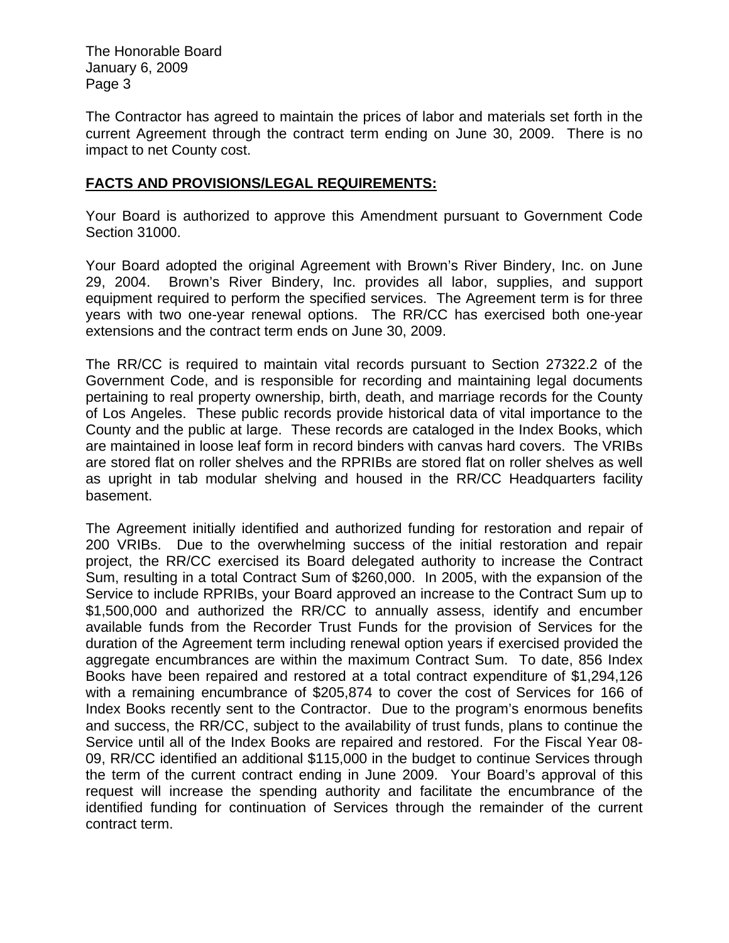The Honorable Board January 6, 2009 Page 3

The Contractor has agreed to maintain the prices of labor and materials set forth in the current Agreement through the contract term ending on June 30, 2009. There is no impact to net County cost.

# **FACTS AND PROVISIONS/LEGAL REQUIREMENTS:**

Your Board is authorized to approve this Amendment pursuant to Government Code Section 31000.

Your Board adopted the original Agreement with Brown's River Bindery, Inc. on June 29, 2004. Brown's River Bindery, Inc. provides all labor, supplies, and support equipment required to perform the specified services. The Agreement term is for three years with two one-year renewal options. The RR/CC has exercised both one-year extensions and the contract term ends on June 30, 2009.

The RR/CC is required to maintain vital records pursuant to Section 27322.2 of the Government Code, and is responsible for recording and maintaining legal documents pertaining to real property ownership, birth, death, and marriage records for the County of Los Angeles. These public records provide historical data of vital importance to the County and the public at large. These records are cataloged in the Index Books, which are maintained in loose leaf form in record binders with canvas hard covers. The VRIBs are stored flat on roller shelves and the RPRIBs are stored flat on roller shelves as well as upright in tab modular shelving and housed in the RR/CC Headquarters facility basement.

The Agreement initially identified and authorized funding for restoration and repair of 200 VRIBs. Due to the overwhelming success of the initial restoration and repair project, the RR/CC exercised its Board delegated authority to increase the Contract Sum, resulting in a total Contract Sum of \$260,000. In 2005, with the expansion of the Service to include RPRIBs, your Board approved an increase to the Contract Sum up to \$1,500,000 and authorized the RR/CC to annually assess, identify and encumber available funds from the Recorder Trust Funds for the provision of Services for the duration of the Agreement term including renewal option years if exercised provided the aggregate encumbrances are within the maximum Contract Sum. To date, 856 Index Books have been repaired and restored at a total contract expenditure of \$1,294,126 with a remaining encumbrance of \$205,874 to cover the cost of Services for 166 of Index Books recently sent to the Contractor. Due to the program's enormous benefits and success, the RR/CC, subject to the availability of trust funds, plans to continue the Service until all of the Index Books are repaired and restored. For the Fiscal Year 08- 09, RR/CC identified an additional \$115,000 in the budget to continue Services through the term of the current contract ending in June 2009. Your Board's approval of this request will increase the spending authority and facilitate the encumbrance of the identified funding for continuation of Services through the remainder of the current contract term.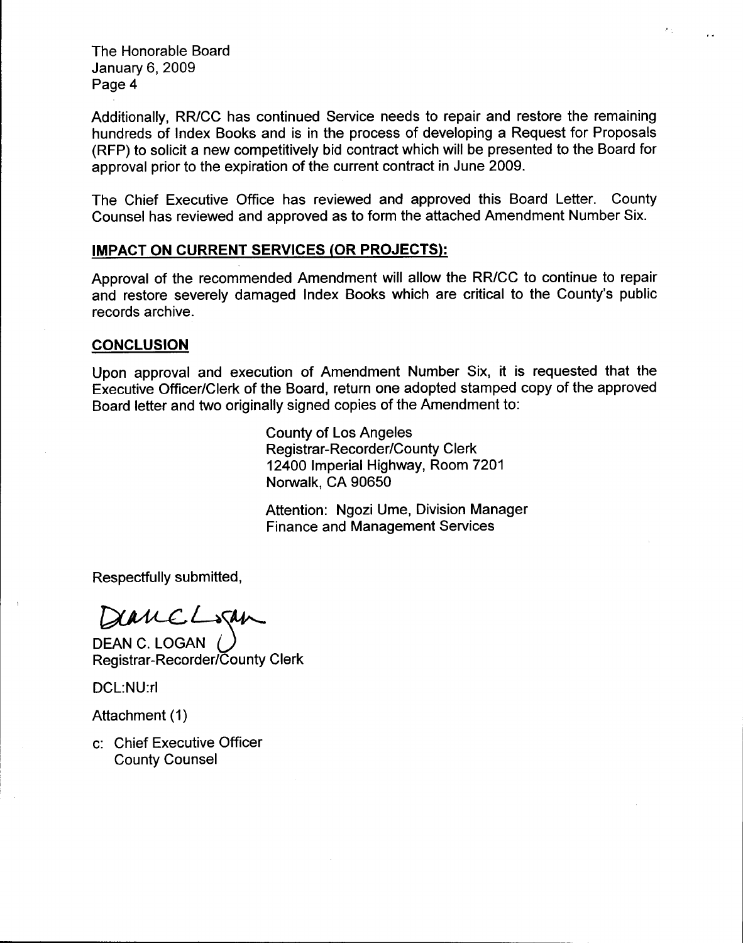**The Honorable Board** January 6, 2009 Page 4

Additionally, RR/CC has continued Service needs to repair and restore the remaining hundreds of Index Books and is in the process of developing a Request for Proposals (RFP) to solicit a new competitively bid contract which will be presented to the Board for approval prior to the expiration of the current contract in June 2009.

The Chief Executive Office has reviewed and approved this Board Letter. County Counsel has reviewed and approved as to form the attached Amendment Number Six.

#### **IMPACT ON CURRENT SERVICES (OR PROJECTS):**

Approval of the recommended Amendment will allow the RR/CC to continue to repair and restore severely damaged Index Books which are critical to the County's public records archive.

#### **CONCLUSION**

Upon approval and execution of Amendment Number Six, it is requested that the Executive Officer/Clerk of the Board, return one adopted stamped copy of the approved Board letter and two originally signed copies of the Amendment to:

> **County of Los Angeles Registrar-Recorder/County Clerk** 12400 Imperial Highway, Room 7201 Norwalk, CA 90650

Attention: Ngozi Ume, Division Manager **Finance and Management Services** 

Respectfully submitted,

DerreLogan

DEAN C. LOGAN ( Registrar-Recorder/County Clerk

DCL:NU:rl

Attachment (1)

c: Chief Executive Officer **County Counsel**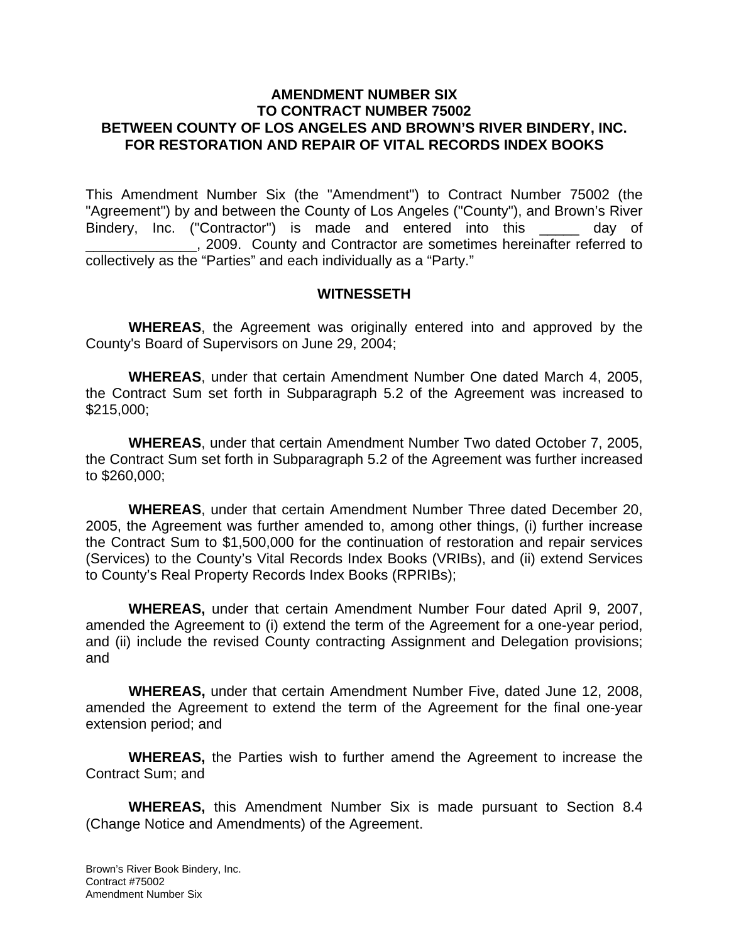## **AMENDMENT NUMBER SIX TO CONTRACT NUMBER 75002 BETWEEN COUNTY OF LOS ANGELES AND BROWN'S RIVER BINDERY, INC. FOR RESTORATION AND REPAIR OF VITAL RECORDS INDEX BOOKS**

This Amendment Number Six (the "Amendment") to Contract Number 75002 (the "Agreement") by and between the County of Los Angeles ("County"), and Brown's River Bindery, Inc. ("Contractor") is made and entered into this \_\_\_\_\_ day of \_\_\_\_\_\_\_\_\_\_\_\_\_\_, 2009. County and Contractor are sometimes hereinafter referred to collectively as the "Parties" and each individually as a "Party."

#### **WITNESSETH**

**WHEREAS**, the Agreement was originally entered into and approved by the County's Board of Supervisors on June 29, 2004;

**WHEREAS**, under that certain Amendment Number One dated March 4, 2005, the Contract Sum set forth in Subparagraph 5.2 of the Agreement was increased to \$215,000;

**WHEREAS**, under that certain Amendment Number Two dated October 7, 2005, the Contract Sum set forth in Subparagraph 5.2 of the Agreement was further increased to \$260,000;

**WHEREAS**, under that certain Amendment Number Three dated December 20, 2005, the Agreement was further amended to, among other things, (i) further increase the Contract Sum to \$1,500,000 for the continuation of restoration and repair services (Services) to the County's Vital Records Index Books (VRIBs), and (ii) extend Services to County's Real Property Records Index Books (RPRIBs);

**WHEREAS,** under that certain Amendment Number Four dated April 9, 2007, amended the Agreement to (i) extend the term of the Agreement for a one-year period, and (ii) include the revised County contracting Assignment and Delegation provisions; and

**WHEREAS,** under that certain Amendment Number Five, dated June 12, 2008, amended the Agreement to extend the term of the Agreement for the final one-year extension period; and

**WHEREAS,** the Parties wish to further amend the Agreement to increase the Contract Sum; and

**WHEREAS,** this Amendment Number Six is made pursuant to Section 8.4 (Change Notice and Amendments) of the Agreement.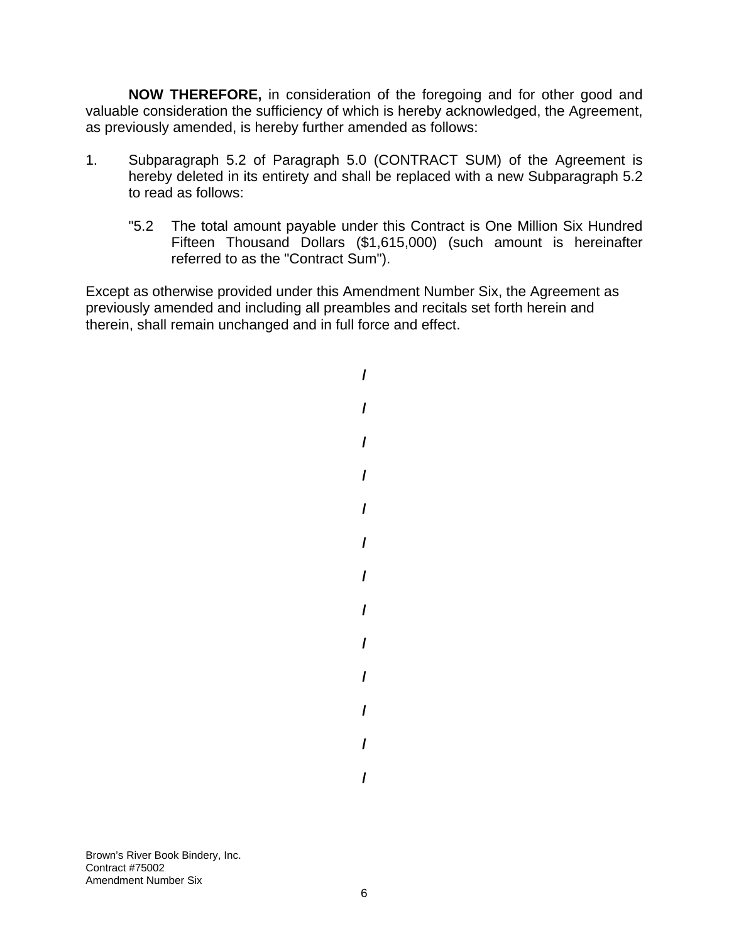**NOW THEREFORE,** in consideration of the foregoing and for other good and valuable consideration the sufficiency of which is hereby acknowledged, the Agreement, as previously amended, is hereby further amended as follows:

- 1. Subparagraph 5.2 of Paragraph 5.0 (CONTRACT SUM) of the Agreement is hereby deleted in its entirety and shall be replaced with a new Subparagraph 5.2 to read as follows:
	- "5.2 The total amount payable under this Contract is One Million Six Hundred Fifteen Thousand Dollars (\$1,615,000) (such amount is hereinafter referred to as the "Contract Sum").

Except as otherwise provided under this Amendment Number Six, the Agreement as previously amended and including all preambles and recitals set forth herein and therein, shall remain unchanged and in full force and effect.

> **/ / / / / / / / / / / / /**

Brown's River Book Bindery, Inc. Contract #75002 Amendment Number Six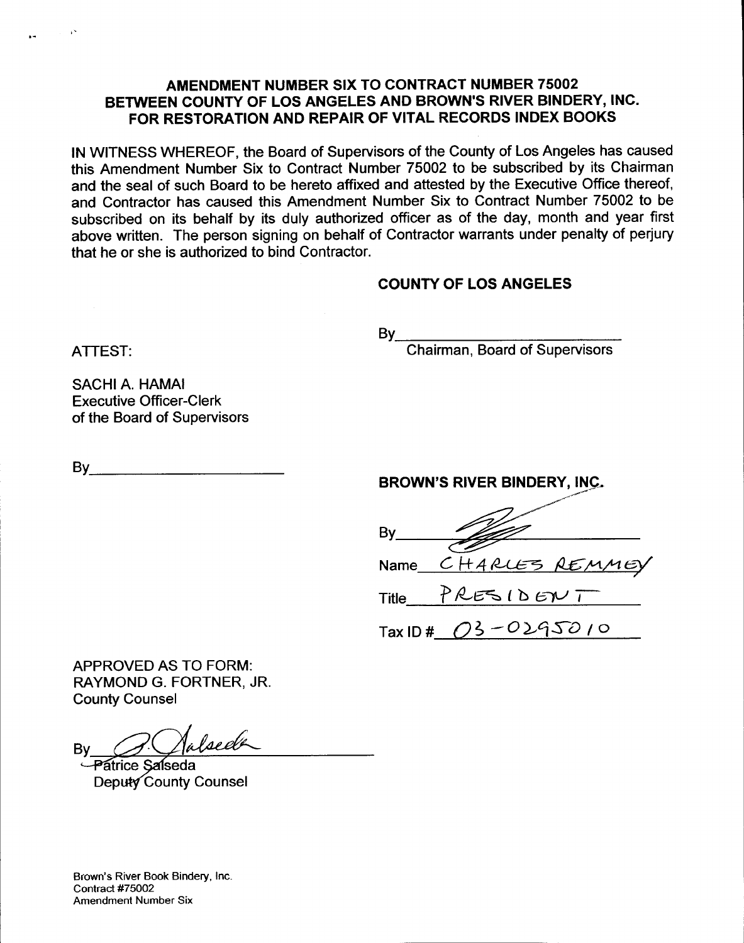# AMENDMENT NUMBER SIX TO CONTRACT NUMBER 75002 BETWEEN COUNTY OF LOS ANGELES AND BROWN'S RIVER BINDERY, INC. FOR RESTORATION AND REPAIR OF VITAL RECORDS INDEX BOOKS

IN WITNESS WHEREOF, the Board of Supervisors of the County of Los Angeles has caused this Amendment Number Six to Contract Number 75002 to be subscribed by its Chairman and the seal of such Board to be hereto affixed and attested by the Executive Office thereof, and Contractor has caused this Amendment Number Six to Contract Number 75002 to be subscribed on its behalf by its duly authorized officer as of the day, month and year first above written. The person signing on behalf of Contractor warrants under penalty of perjury that he or she is authorized to bind Contractor.

# **COUNTY OF LOS ANGELES**

 $By$ 

**Chairman, Board of Supervisors** 

**SACHI A. HAMAI Executive Officer-Clerk** of the Board of Supervisors

**ATTEST:** 

 $\mathsf{By}$ 

| <b>BROWN'S RIVER BINDERY, INC.</b> |  |
|------------------------------------|--|
|                                    |  |
|                                    |  |

 $By$ Name CHARLES REMME

PRESIDENT **Title** 

 $Tax ID# 03 - 0295010$ 

**APPROVED AS TO FORM:** RAYMOND G. FORTNER, JR. **County Counsel** 

alsed A By

Patrice Salseda Deputy County Counsel

Brown's River Book Bindery, Inc. Contract #75002 **Amendment Number Six**